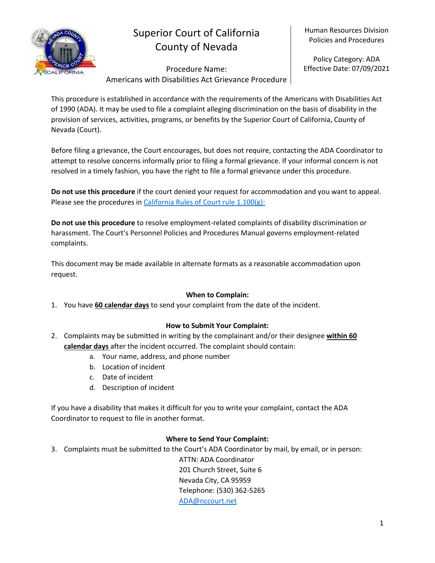

# Superior Court of California County of Nevada

Human Resources Division Policies and Procedures

Procedure Name: Americans with Disabilities Act Grievance Procedure

Policy Category: ADA Effective Date: 07/09/2021

This procedure is established in accordance with the requirements of the Americans with Disabilities Act of 1990 (ADA). It may be used to file a complaint alleging discrimination on the basis of disability in the provision of services, activities, programs, or benefits by the Superior Court of California, County of Nevada (Court).

Before filing a grievance, the Court encourages, but does not require, contacting the ADA Coordinator to attempt to resolve concerns informally prior to filing a formal grievance. If your informal concern is not resolved in a timely fashion, you have the right to file a formal grievance under this procedure.

**Do not use this procedure** if the court denied your request for accommodation and you want to appeal. Please see the procedures in [California Rules of Court rule 1.100\(g\):](https://www.courts.ca.gov/cms/rules/index.cfm?title=one&linkid=rule1_100)

**Do not use this procedure** to resolve employment-related complaints of disability discrimination or harassment. The Court's Personnel Policies and Procedures Manual governs employment-related complaints.

This document may be made available in alternate formats as a reasonable accommodation upon request.

### **When to Complain:**

1. You have **60 calendar days** to send your complaint from the date of the incident.

## **How to Submit Your Complaint:**

- 2. Complaints may be submitted in writing by the complainant and/or their designee **within 60 calendar days** after the incident occurred. The complaint should contain:
	- a. Your name, address, and phone number
	- b. Location of incident
	- c. Date of incident
	- d. Description of incident

If you have a disability that makes it difficult for you to write your complaint, contact the ADA Coordinator to request to file in another format.

### **Where to Send Your Complaint:**

3. Complaints must be submitted to the Court's ADA Coordinator by mail, by email, or in person:

ATTN: ADA Coordinator 201 Church Street, Suite 6 Nevada City, CA 95959 Telephone: (530) 362-5265 [ADA@nccourt.net](mailto:ADA@nccourt.net)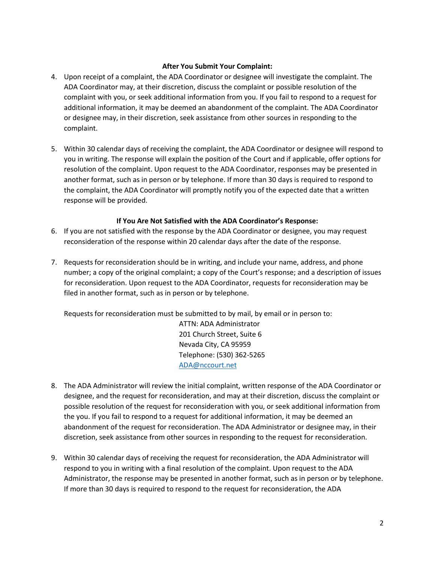#### **After You Submit Your Complaint:**

- 4. Upon receipt of a complaint, the ADA Coordinator or designee will investigate the complaint. The ADA Coordinator may, at their discretion, discuss the complaint or possible resolution of the complaint with you, or seek additional information from you. If you fail to respond to a request for additional information, it may be deemed an abandonment of the complaint. The ADA Coordinator or designee may, in their discretion, seek assistance from other sources in responding to the complaint.
- 5. Within 30 calendar days of receiving the complaint, the ADA Coordinator or designee will respond to you in writing. The response will explain the position of the Court and if applicable, offer options for resolution of the complaint. Upon request to the ADA Coordinator, responses may be presented in another format, such as in person or by telephone. If more than 30 days is required to respond to the complaint, the ADA Coordinator will promptly notify you of the expected date that a written response will be provided.

#### **If You Are Not Satisfied with the ADA Coordinator's Response:**

- 6. If you are not satisfied with the response by the ADA Coordinator or designee, you may request reconsideration of the response within 20 calendar days after the date of the response.
- 7. Requests for reconsideration should be in writing, and include your name, address, and phone number; a copy of the original complaint; a copy of the Court's response; and a description of issues for reconsideration. Upon request to the ADA Coordinator, requests for reconsideration may be filed in another format, such as in person or by telephone.

Requests for reconsideration must be submitted to by mail, by email or in person to:

ATTN: ADA Administrator 201 Church Street, Suite 6 Nevada City, CA 95959 Telephone: (530) 362-5265 [ADA@nccourt.net](mailto:ADA@nccourt.net)

- 8. The ADA Administrator will review the initial complaint, written response of the ADA Coordinator or designee, and the request for reconsideration, and may at their discretion, discuss the complaint or possible resolution of the request for reconsideration with you, or seek additional information from the you. If you fail to respond to a request for additional information, it may be deemed an abandonment of the request for reconsideration. The ADA Administrator or designee may, in their discretion, seek assistance from other sources in responding to the request for reconsideration.
- 9. Within 30 calendar days of receiving the request for reconsideration, the ADA Administrator will respond to you in writing with a final resolution of the complaint. Upon request to the ADA Administrator, the response may be presented in another format, such as in person or by telephone. If more than 30 days is required to respond to the request for reconsideration, the ADA